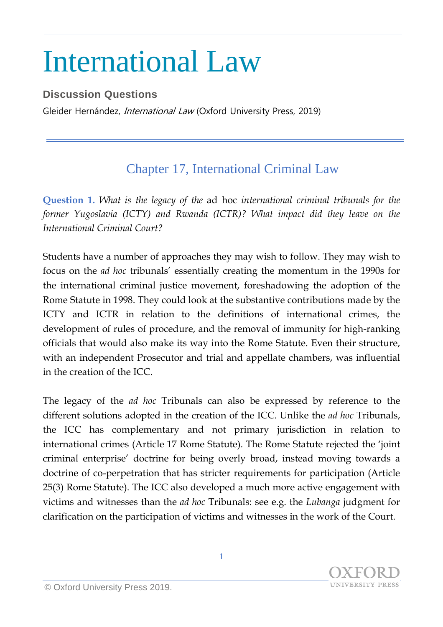## International Law

## **Discussion Questions**

Gleider Hernández, *International Law* (Oxford University Press, 2019)

## Chapter 17, International Criminal Law

**Question 1.** *What is the legacy of the* ad hoc *international criminal tribunals for the former Yugoslavia (ICTY) and Rwanda (ICTR)? What impact did they leave on the International Criminal Court?*

Students have a number of approaches they may wish to follow. They may wish to focus on the *ad hoc* tribunals' essentially creating the momentum in the 1990s for the international criminal justice movement, foreshadowing the adoption of the Rome Statute in 1998. They could look at the substantive contributions made by the ICTY and ICTR in relation to the definitions of international crimes, the development of rules of procedure, and the removal of immunity for high-ranking officials that would also make its way into the Rome Statute. Even their structure, with an independent Prosecutor and trial and appellate chambers, was influential in the creation of the ICC.

The legacy of the *ad hoc* Tribunals can also be expressed by reference to the different solutions adopted in the creation of the ICC. Unlike the *ad hoc* Tribunals, the ICC has complementary and not primary jurisdiction in relation to international crimes (Article 17 Rome Statute). The Rome Statute rejected the 'joint criminal enterprise' doctrine for being overly broad, instead moving towards a doctrine of co-perpetration that has stricter requirements for participation (Article 25(3) Rome Statute). The ICC also developed a much more active engagement with victims and witnesses than the *ad hoc* Tribunals: see e.g. the *Lubanga* judgment for clarification on the participation of victims and witnesses in the work of the Court.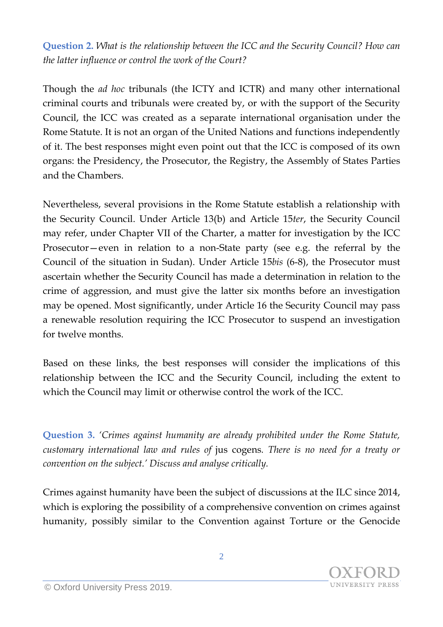**Question 2.** *What is the relationship between the ICC and the Security Council? How can the latter influence or control the work of the Court?*

Though the *ad hoc* tribunals (the ICTY and ICTR) and many other international criminal courts and tribunals were created by, or with the support of the Security Council, the ICC was created as a separate international organisation under the Rome Statute. It is not an organ of the United Nations and functions independently of it. The best responses might even point out that the ICC is composed of its own organs: the Presidency, the Prosecutor, the Registry, the Assembly of States Parties and the Chambers.

Nevertheless, several provisions in the Rome Statute establish a relationship with the Security Council. Under Article 13(b) and Article 15*ter*, the Security Council may refer, under Chapter VII of the Charter, a matter for investigation by the ICC Prosecutor—even in relation to a non-State party (see e.g. the referral by the Council of the situation in Sudan). Under Article 15*bis* (6-8), the Prosecutor must ascertain whether the Security Council has made a determination in relation to the crime of aggression, and must give the latter six months before an investigation may be opened. Most significantly, under Article 16 the Security Council may pass a renewable resolution requiring the ICC Prosecutor to suspend an investigation for twelve months.

Based on these links, the best responses will consider the implications of this relationship between the ICC and the Security Council, including the extent to which the Council may limit or otherwise control the work of the ICC.

**Question 3.** *'Crimes against humanity are already prohibited under the Rome Statute, customary international law and rules of* jus cogens*. There is no need for a treaty or convention on the subject.' Discuss and analyse critically.*

Crimes against humanity have been the subject of discussions at the ILC since 2014, which is exploring the possibility of a comprehensive convention on crimes against humanity, possibly similar to the Convention against Torture or the Genocide